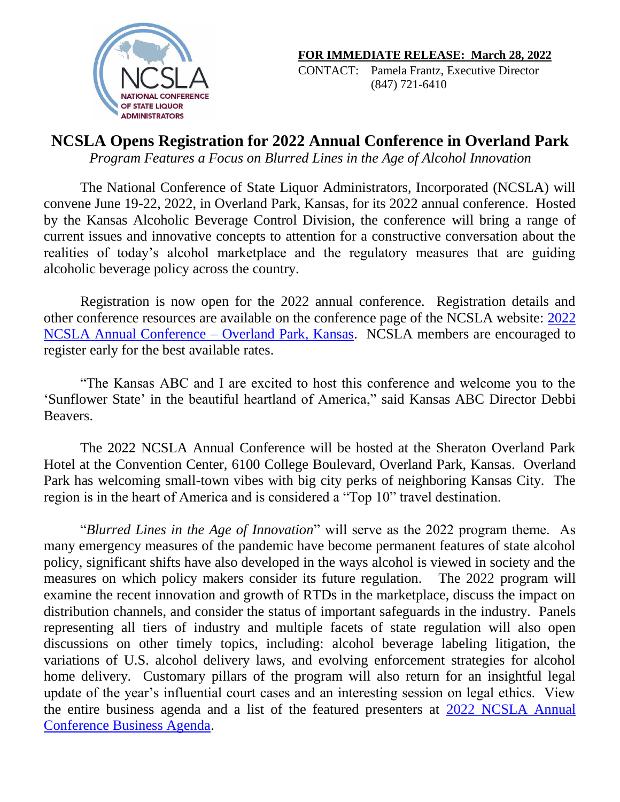

CONTACT: Pamela Frantz, Executive Director (847) 721-6410

## **NCSLA Opens Registration for 2022 Annual Conference in Overland Park**

*Program Features a Focus on Blurred Lines in the Age of Alcohol Innovation*

The National Conference of State Liquor Administrators, Incorporated (NCSLA) will convene June 19-22, 2022, in Overland Park, Kansas, for its 2022 annual conference. Hosted by the Kansas Alcoholic Beverage Control Division, the conference will bring a range of current issues and innovative concepts to attention for a constructive conversation about the realities of today's alcohol marketplace and the regulatory measures that are guiding alcoholic beverage policy across the country.

Registration is now open for the 2022 annual conference. Registration details and other conference resources are available on the conference page of the NCSLA website: [2022](https://www.ncsla.org/Annual-Conference-2022.html)  [NCSLA Annual Conference –](https://www.ncsla.org/Annual-Conference-2022.html) Overland Park, Kansas. NCSLA members are encouraged to register early for the best available rates.

"The Kansas ABC and I are excited to host this conference and welcome you to the 'Sunflower State' in the beautiful heartland of America," said Kansas ABC Director Debbi Beavers.

The 2022 NCSLA Annual Conference will be hosted at the Sheraton Overland Park Hotel at the Convention Center, 6100 College Boulevard, Overland Park, Kansas. Overland Park has welcoming small-town vibes with big city perks of neighboring Kansas City. The region is in the heart of America and is considered a "Top 10" travel destination.

"*Blurred Lines in the Age of Innovation*" will serve as the 2022 program theme. As many emergency measures of the pandemic have become permanent features of state alcohol policy, significant shifts have also developed in the ways alcohol is viewed in society and the measures on which policy makers consider its future regulation. The 2022 program will examine the recent innovation and growth of RTDs in the marketplace, discuss the impact on distribution channels, and consider the status of important safeguards in the industry. Panels representing all tiers of industry and multiple facets of state regulation will also open discussions on other timely topics, including: alcohol beverage labeling litigation, the variations of U.S. alcohol delivery laws, and evolving enforcement strategies for alcohol home delivery. Customary pillars of the program will also return for an insightful legal update of the year's influential court cases and an interesting session on legal ethics. View the entire business agenda and a list of the featured presenters at [2022 NCSLA Annual](https://www.ncsla.org/pdf/2022_Annual_Conf-BUSINESS_Agenda_WEB.pdf)  [Conference Business Agenda.](https://www.ncsla.org/pdf/2022_Annual_Conf-BUSINESS_Agenda_WEB.pdf)